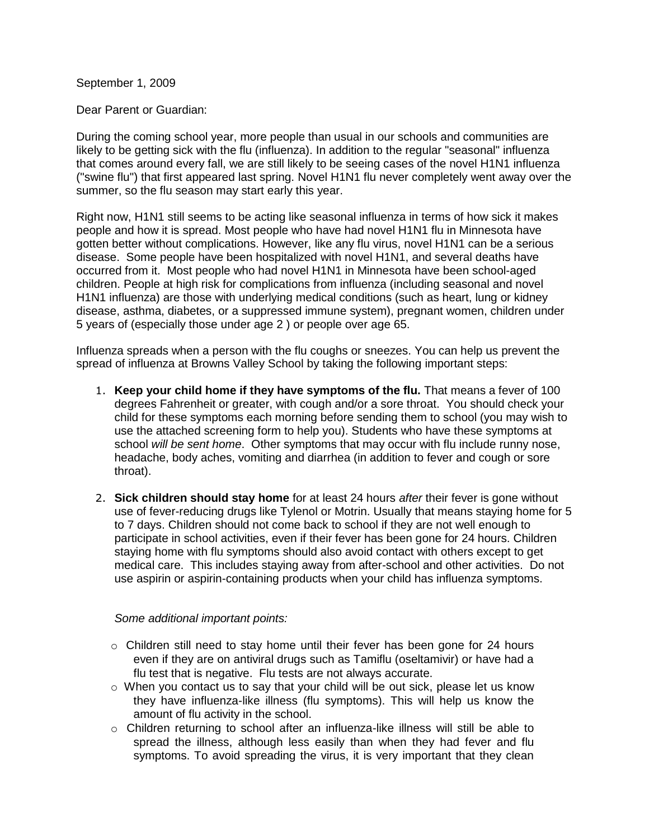September 1, 2009

Dear Parent or Guardian:

During the coming school year, more people than usual in our schools and communities are likely to be getting sick with the flu (influenza). In addition to the regular "seasonal" influenza that comes around every fall, we are still likely to be seeing cases of the novel H1N1 influenza ("swine flu") that first appeared last spring. Novel H1N1 flu never completely went away over the summer, so the flu season may start early this year.

Right now, H1N1 still seems to be acting like seasonal influenza in terms of how sick it makes people and how it is spread. Most people who have had novel H1N1 flu in Minnesota have gotten better without complications. However, like any flu virus, novel H1N1 can be a serious disease. Some people have been hospitalized with novel H1N1, and several deaths have occurred from it. Most people who had novel H1N1 in Minnesota have been school-aged children. People at high risk for complications from influenza (including seasonal and novel H1N1 influenza) are those with underlying medical conditions (such as heart, lung or kidney disease, asthma, diabetes, or a suppressed immune system), pregnant women, children under 5 years of (especially those under age 2 ) or people over age 65.

Influenza spreads when a person with the flu coughs or sneezes. You can help us prevent the spread of influenza at Browns Valley School by taking the following important steps:

- 1. **Keep your child home if they have symptoms of the flu.** That means a fever of 100 degrees Fahrenheit or greater, with cough and/or a sore throat. You should check your child for these symptoms each morning before sending them to school (you may wish to use the attached screening form to help you). Students who have these symptoms at school *will be sent home*. Other symptoms that may occur with flu include runny nose, headache, body aches, vomiting and diarrhea (in addition to fever and cough or sore throat).
- 2. **Sick children should stay home** for at least 24 hours *after* their fever is gone without use of fever-reducing drugs like Tylenol or Motrin. Usually that means staying home for 5 to 7 days. Children should not come back to school if they are not well enough to participate in school activities, even if their fever has been gone for 24 hours. Children staying home with flu symptoms should also avoid contact with others except to get medical care. This includes staying away from after-school and other activities. Do not use aspirin or aspirin-containing products when your child has influenza symptoms.

## *Some additional important points:*

- $\circ$  Children still need to stay home until their fever has been gone for 24 hours even if they are on antiviral drugs such as Tamiflu (oseltamivir) or have had a flu test that is negative. Flu tests are not always accurate.
- $\circ$  When you contact us to say that your child will be out sick, please let us know they have influenza-like illness (flu symptoms). This will help us know the amount of flu activity in the school.
- $\circ$  Children returning to school after an influenza-like illness will still be able to spread the illness, although less easily than when they had fever and flu symptoms. To avoid spreading the virus, it is very important that they clean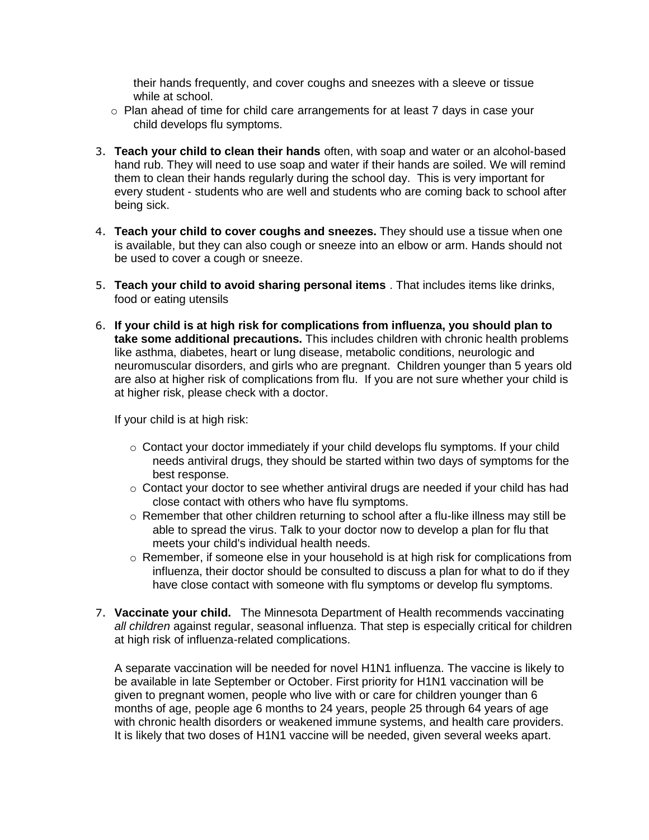their hands frequently, and cover coughs and sneezes with a sleeve or tissue while at school.

- o Plan ahead of time for child care arrangements for at least 7 days in case your child develops flu symptoms.
- 3. **Teach your child to clean their hands** often, with soap and water or an alcohol-based hand rub. They will need to use soap and water if their hands are soiled. We will remind them to clean their hands regularly during the school day. This is very important for every student - students who are well and students who are coming back to school after being sick.
- 4. **Teach your child to cover coughs and sneezes.** They should use a tissue when one is available, but they can also cough or sneeze into an elbow or arm. Hands should not be used to cover a cough or sneeze.
- 5. **Teach your child to avoid sharing personal items** . That includes items like drinks, food or eating utensils
- 6. **If your child is at high risk for complications from influenza, you should plan to take some additional precautions.** This includes children with chronic health problems like asthma, diabetes, heart or lung disease, metabolic conditions, neurologic and neuromuscular disorders, and girls who are pregnant. Children younger than 5 years old are also at higher risk of complications from flu. If you are not sure whether your child is at higher risk, please check with a doctor.

If your child is at high risk:

- $\circ$  Contact your doctor immediately if your child develops flu symptoms. If your child needs antiviral drugs, they should be started within two days of symptoms for the best response.
- $\circ$  Contact your doctor to see whether antiviral drugs are needed if your child has had close contact with others who have flu symptoms.
- $\circ$  Remember that other children returning to school after a flu-like illness may still be able to spread the virus. Talk to your doctor now to develop a plan for flu that meets your child's individual health needs.
- $\circ$  Remember, if someone else in your household is at high risk for complications from influenza, their doctor should be consulted to discuss a plan for what to do if they have close contact with someone with flu symptoms or develop flu symptoms.
- 7. **Vaccinate your child.** The Minnesota Department of Health recommends vaccinating *all children* against regular, seasonal influenza. That step is especially critical for children at high risk of influenza-related complications.

A separate vaccination will be needed for novel H1N1 influenza. The vaccine is likely to be available in late September or October. First priority for H1N1 vaccination will be given to pregnant women, people who live with or care for children younger than 6 months of age, people age 6 months to 24 years, people 25 through 64 years of age with chronic health disorders or weakened immune systems, and health care providers. It is likely that two doses of H1N1 vaccine will be needed, given several weeks apart.